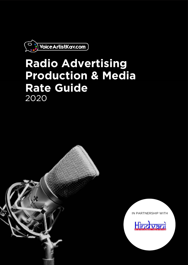

# **Radio Advertising Production & Media Rate Guide** 2020

IN PARTNERSHIP WITH

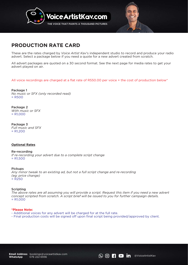



These are the rates charged by *Voice Artist Kav*'s independent studio to record and produce your radio advert. Select a package below if you need a quote for a new advert created from scratch.

All advert packages are quoted on a 30 second format. See the next page for media rates to get your advert played on air.

# All voice recordings are charged at a flat rate of R550.00 per voice + the cost of production below\*

Package 1 *No music or SFX (only recorded read)* = R500

= R1,000 Package 2 *With music or SFX* 

Package 3 *Full music and SFX*   $= R1,200$ 

#### **Optional Rates**

*If re-recording your advert due to a complete script change*  $= R1,500$ Re-recording

*Any minor tweak to an existing ad, but not a full script change and re-recording (eg: price change)*  = R250 Pickups

#### Scripting

*The above rates are all assuming you will provide a script. Request this item if you need a new advert concept scripted from scratch. A script brief will be issued to you for further campaign details.*  = R1,000

### **\*Please Note:**

- Additional voices for any advert will be charged for at the full rate.
- Final production costs will be signed off upon final script being provided/approved by client.